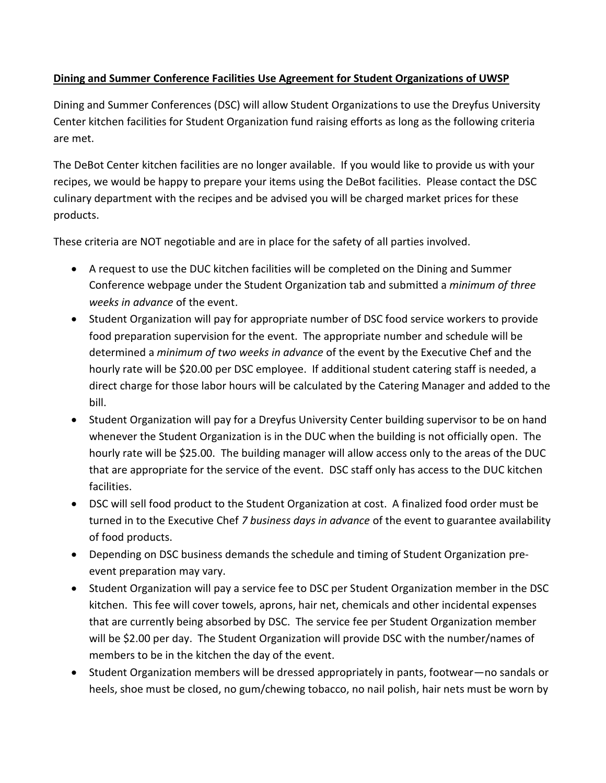## **Dining and Summer Conference Facilities Use Agreement for Student Organizations of UWSP**

Dining and Summer Conferences (DSC) will allow Student Organizations to use the Dreyfus University Center kitchen facilities for Student Organization fund raising efforts as long as the following criteria are met.

The DeBot Center kitchen facilities are no longer available. If you would like to provide us with your recipes, we would be happy to prepare your items using the DeBot facilities. Please contact the DSC culinary department with the recipes and be advised you will be charged market prices for these products.

These criteria are NOT negotiable and are in place for the safety of all parties involved.

- A request to use the DUC kitchen facilities will be completed on the Dining and Summer Conference webpage under the Student Organization tab and submitted a *minimum of three weeks in advance* of the event.
- Student Organization will pay for appropriate number of DSC food service workers to provide food preparation supervision for the event. The appropriate number and schedule will be determined a *minimum of two weeks in advance* of the event by the Executive Chef and the hourly rate will be \$20.00 per DSC employee. If additional student catering staff is needed, a direct charge for those labor hours will be calculated by the Catering Manager and added to the bill.
- Student Organization will pay for a Dreyfus University Center building supervisor to be on hand whenever the Student Organization is in the DUC when the building is not officially open. The hourly rate will be \$25.00. The building manager will allow access only to the areas of the DUC that are appropriate for the service of the event. DSC staff only has access to the DUC kitchen facilities.
- DSC will sell food product to the Student Organization at cost. A finalized food order must be turned in to the Executive Chef *7 business days in advance* of the event to guarantee availability of food products.
- Depending on DSC business demands the schedule and timing of Student Organization preevent preparation may vary.
- Student Organization will pay a service fee to DSC per Student Organization member in the DSC kitchen. This fee will cover towels, aprons, hair net, chemicals and other incidental expenses that are currently being absorbed by DSC. The service fee per Student Organization member will be \$2.00 per day. The Student Organization will provide DSC with the number/names of members to be in the kitchen the day of the event.
- Student Organization members will be dressed appropriately in pants, footwear—no sandals or heels, shoe must be closed, no gum/chewing tobacco, no nail polish, hair nets must be worn by